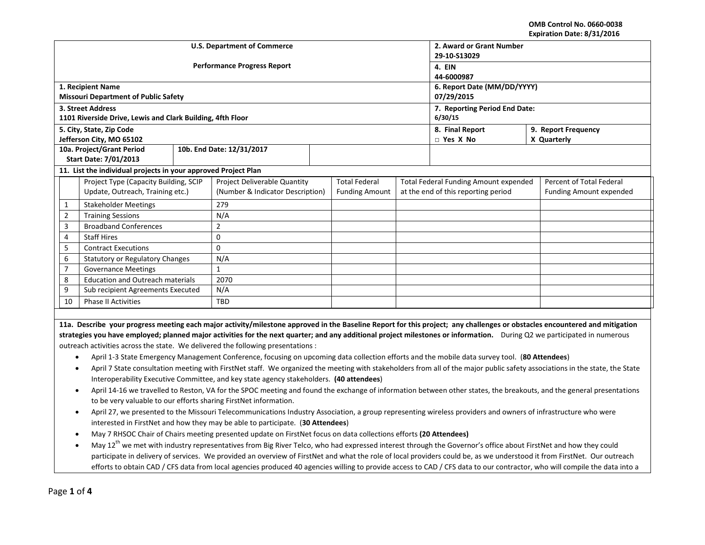**OMB Control No. 0660-0038 Expiration Date: 8/31/2016**

|                                                                                                                                                                                   |                                                                                                                                                                                         |     | <b>U.S. Department of Commerce</b>                                                                                                                                       | 2. Award or Grant Number<br>29-10-S13029  |                       |                                       |                                     |                          |                                                                                                                                                                             |  |
|-----------------------------------------------------------------------------------------------------------------------------------------------------------------------------------|-----------------------------------------------------------------------------------------------------------------------------------------------------------------------------------------|-----|--------------------------------------------------------------------------------------------------------------------------------------------------------------------------|-------------------------------------------|-----------------------|---------------------------------------|-------------------------------------|--------------------------|-----------------------------------------------------------------------------------------------------------------------------------------------------------------------------|--|
|                                                                                                                                                                                   |                                                                                                                                                                                         |     | <b>Performance Progress Report</b>                                                                                                                                       | 4. EIN                                    |                       |                                       |                                     |                          |                                                                                                                                                                             |  |
|                                                                                                                                                                                   |                                                                                                                                                                                         |     |                                                                                                                                                                          | 44-6000987                                |                       |                                       |                                     |                          |                                                                                                                                                                             |  |
|                                                                                                                                                                                   | 1. Recipient Name<br><b>Missouri Department of Public Safety</b>                                                                                                                        |     |                                                                                                                                                                          | 6. Report Date (MM/DD/YYYY)<br>07/29/2015 |                       |                                       |                                     |                          |                                                                                                                                                                             |  |
|                                                                                                                                                                                   | 3. Street Address                                                                                                                                                                       |     |                                                                                                                                                                          | 7. Reporting Period End Date:             |                       |                                       |                                     |                          |                                                                                                                                                                             |  |
|                                                                                                                                                                                   | 1101 Riverside Drive, Lewis and Clark Building, 4fth Floor                                                                                                                              |     |                                                                                                                                                                          | 6/30/15                                   |                       |                                       |                                     |                          |                                                                                                                                                                             |  |
|                                                                                                                                                                                   | 5. City, State, Zip Code                                                                                                                                                                |     |                                                                                                                                                                          | 9. Report Frequency<br>8. Final Report    |                       |                                       |                                     |                          |                                                                                                                                                                             |  |
|                                                                                                                                                                                   | Jefferson City, MO 65102                                                                                                                                                                |     |                                                                                                                                                                          |                                           |                       |                                       | $\Box$ Yes X No                     |                          | X Quarterly                                                                                                                                                                 |  |
| 10a. Project/Grant Period                                                                                                                                                         |                                                                                                                                                                                         |     | 10b. End Date: 12/31/2017                                                                                                                                                |                                           |                       |                                       |                                     |                          |                                                                                                                                                                             |  |
|                                                                                                                                                                                   | <b>Start Date: 7/01/2013</b>                                                                                                                                                            |     |                                                                                                                                                                          |                                           |                       |                                       |                                     |                          |                                                                                                                                                                             |  |
|                                                                                                                                                                                   | 11. List the individual projects in your approved Project Plan                                                                                                                          |     |                                                                                                                                                                          |                                           |                       |                                       |                                     |                          |                                                                                                                                                                             |  |
|                                                                                                                                                                                   | Project Type (Capacity Building, SCIP                                                                                                                                                   |     | <b>Project Deliverable Quantity</b>                                                                                                                                      |                                           | <b>Total Federal</b>  | Total Federal Funding Amount expended |                                     | Percent of Total Federal |                                                                                                                                                                             |  |
|                                                                                                                                                                                   | Update, Outreach, Training etc.)                                                                                                                                                        |     | (Number & Indicator Description)                                                                                                                                         |                                           | <b>Funding Amount</b> |                                       | at the end of this reporting period |                          | <b>Funding Amount expended</b>                                                                                                                                              |  |
|                                                                                                                                                                                   | $\mathbf{1}$<br><b>Stakeholder Meetings</b>                                                                                                                                             |     | 279                                                                                                                                                                      |                                           |                       |                                       |                                     |                          |                                                                                                                                                                             |  |
| $\overline{2}$                                                                                                                                                                    | <b>Training Sessions</b>                                                                                                                                                                |     | N/A                                                                                                                                                                      |                                           |                       |                                       |                                     |                          |                                                                                                                                                                             |  |
|                                                                                                                                                                                   | 3<br><b>Broadband Conferences</b>                                                                                                                                                       |     | $\overline{2}$                                                                                                                                                           |                                           |                       |                                       |                                     |                          |                                                                                                                                                                             |  |
| 4                                                                                                                                                                                 | <b>Staff Hires</b>                                                                                                                                                                      |     | $\pmb{0}$                                                                                                                                                                |                                           |                       |                                       |                                     |                          |                                                                                                                                                                             |  |
| 5                                                                                                                                                                                 | <b>Contract Executions</b>                                                                                                                                                              |     | $\mathbf{0}$                                                                                                                                                             |                                           |                       |                                       |                                     |                          |                                                                                                                                                                             |  |
| 6                                                                                                                                                                                 | <b>Statutory or Regulatory Changes</b>                                                                                                                                                  |     | N/A                                                                                                                                                                      |                                           |                       |                                       |                                     |                          |                                                                                                                                                                             |  |
| $\overline{7}$                                                                                                                                                                    | <b>Governance Meetings</b>                                                                                                                                                              |     | $\mathbf{1}$                                                                                                                                                             |                                           |                       |                                       |                                     |                          |                                                                                                                                                                             |  |
|                                                                                                                                                                                   | 8<br><b>Education and Outreach materials</b>                                                                                                                                            |     | 2070                                                                                                                                                                     |                                           |                       |                                       |                                     |                          |                                                                                                                                                                             |  |
| 9<br>Sub recipient Agreements Executed                                                                                                                                            |                                                                                                                                                                                         | N/A |                                                                                                                                                                          |                                           |                       |                                       |                                     |                          |                                                                                                                                                                             |  |
| 10<br>Phase II Activities                                                                                                                                                         |                                                                                                                                                                                         | TBD |                                                                                                                                                                          |                                           |                       |                                       |                                     |                          |                                                                                                                                                                             |  |
|                                                                                                                                                                                   |                                                                                                                                                                                         |     |                                                                                                                                                                          |                                           |                       |                                       |                                     |                          |                                                                                                                                                                             |  |
|                                                                                                                                                                                   |                                                                                                                                                                                         |     |                                                                                                                                                                          |                                           |                       |                                       |                                     |                          | 11a. Describe your progress meeting each major activity/milestone approved in the Baseline Report for this project; any challenges or obstacles encountered and mitigation  |  |
|                                                                                                                                                                                   |                                                                                                                                                                                         |     | strategies you have employed; planned major activities for the next quarter; and any additional project milestones or information. During Q2 we participated in numerous |                                           |                       |                                       |                                     |                          |                                                                                                                                                                             |  |
|                                                                                                                                                                                   |                                                                                                                                                                                         |     | outreach activities across the state. We delivered the following presentations :                                                                                         |                                           |                       |                                       |                                     |                          |                                                                                                                                                                             |  |
| $\bullet$                                                                                                                                                                         |                                                                                                                                                                                         |     | April 1-3 State Emergency Management Conference, focusing on upcoming data collection efforts and the mobile data survey tool. (80 Attendees)                            |                                           |                       |                                       |                                     |                          |                                                                                                                                                                             |  |
|                                                                                                                                                                                   |                                                                                                                                                                                         |     |                                                                                                                                                                          |                                           |                       |                                       |                                     |                          | April 7 State consultation meeting with FirstNet staff. We organized the meeting with stakeholders from all of the major public safety associations in the state, the State |  |
| Interoperability Executive Committee, and key state agency stakeholders. (40 attendees)                                                                                           |                                                                                                                                                                                         |     |                                                                                                                                                                          |                                           |                       |                                       |                                     |                          |                                                                                                                                                                             |  |
| April 14-16 we travelled to Reston, VA for the SPOC meeting and found the exchange of information between other states, the breakouts, and the general presentations<br>$\bullet$ |                                                                                                                                                                                         |     |                                                                                                                                                                          |                                           |                       |                                       |                                     |                          |                                                                                                                                                                             |  |
| to be very valuable to our efforts sharing FirstNet information.                                                                                                                  |                                                                                                                                                                                         |     |                                                                                                                                                                          |                                           |                       |                                       |                                     |                          |                                                                                                                                                                             |  |
| $\bullet$                                                                                                                                                                         |                                                                                                                                                                                         |     | April 27, we presented to the Missouri Telecommunications Industry Association, a group representing wireless providers and owners of infrastructure who were            |                                           |                       |                                       |                                     |                          |                                                                                                                                                                             |  |
|                                                                                                                                                                                   | interested in FirstNet and how they may be able to participate. (30 Attendees)                                                                                                          |     |                                                                                                                                                                          |                                           |                       |                                       |                                     |                          |                                                                                                                                                                             |  |
|                                                                                                                                                                                   | May 7 RHSOC Chair of Chairs meeting presented update on FirstNet focus on data collections efforts (20 Attendees)                                                                       |     |                                                                                                                                                                          |                                           |                       |                                       |                                     |                          |                                                                                                                                                                             |  |
|                                                                                                                                                                                   | May 12 <sup>th</sup> we met with industry representatives from Big River Telco, who had expressed interest through the Governor's office about FirstNet and how they could<br>$\bullet$ |     |                                                                                                                                                                          |                                           |                       |                                       |                                     |                          |                                                                                                                                                                             |  |
|                                                                                                                                                                                   | participate in delivery of services. We provided an overview of FirstNet and what the role of local providers could be, as we understood it from FirstNet. Our outreach                 |     |                                                                                                                                                                          |                                           |                       |                                       |                                     |                          |                                                                                                                                                                             |  |
| efforts to obtain CAD / CFS data from local agencies produced 40 agencies willing to provide access to CAD / CFS data to our contractor, who will compile the data into a         |                                                                                                                                                                                         |     |                                                                                                                                                                          |                                           |                       |                                       |                                     |                          |                                                                                                                                                                             |  |
|                                                                                                                                                                                   |                                                                                                                                                                                         |     |                                                                                                                                                                          |                                           |                       |                                       |                                     |                          |                                                                                                                                                                             |  |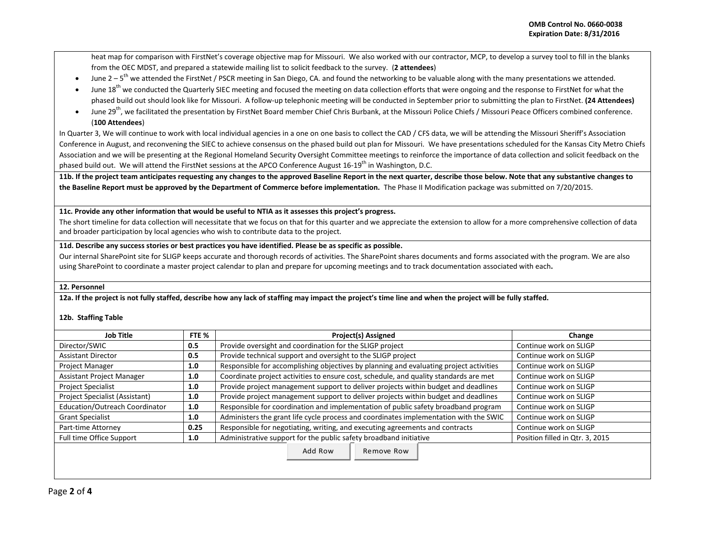heat map for comparison with FirstNet's coverage objective map for Missouri. We also worked with our contractor, MCP, to develop a survey tool to fill in the blanks from the OEC MDST, and prepared a statewide mailing list to solicit feedback to the survey. (**2 attendees**)

- June 2 5<sup>th</sup> we attended the FirstNet / PSCR meeting in San Diego, CA. and found the networking to be valuable along with the many presentations we attended.
- June 18<sup>th</sup> we conducted the Quarterly SIEC meeting and focused the meeting on data collection efforts that were ongoing and the response to FirstNet for what the phased build out should look like for Missouri. A follow-up telephonic meeting will be conducted in September prior to submitting the plan to FirstNet. **(24 Attendees)**
- Iune 29<sup>th</sup>. we facilitated the presentation by FirstNet Board member Chief Chris Burbank, at the Missouri Police Chiefs / Missouri Peace Officers combined conference. (**100 Attendees**)

In Quarter 3, We will continue to work with local individual agencies in a one on one basis to collect the CAD / CFS data, we will be attending the Missouri Sheriff's Association Conference in August, and reconvening the SIEC to achieve consensus on the phased build out plan for Missouri. We have presentations scheduled for the Kansas City Metro Chiefs Association and we will be presenting at the Regional Homeland Security Oversight Committee meetings to reinforce the importance of data collection and solicit feedback on the phased build out. We will attend the FirstNet sessions at the APCO Conference August 16-19<sup>th</sup> in Washington, D.C.

**11b. If the project team anticipates requesting any changes to the approved Baseline Report in the next quarter, describe those below. Note that any substantive changes to the Baseline Report must be approved by the Department of Commerce before implementation.** The Phase II Modification package was submitted on 7/20/2015.

**11c. Provide any other information that would be useful to NTIA as it assesses this project's progress.** 

The short timeline for data collection will necessitate that we focus on that for this quarter and we appreciate the extension to allow for a more comprehensive collection of data and broader participation by local agencies who wish to contribute data to the project.

## **11d. Describe any success stories or best practices you have identified. Please be as specific as possible.**

Our internal SharePoint site for SLIGP keeps accurate and thorough records of activities. The SharePoint shares documents and forms associated with the program. We are also using SharePoint to coordinate a master project calendar to plan and prepare for upcoming meetings and to track documentation associated with each**.**

## **12. Personnel**

**12a. If the project is not fully staffed, describe how any lack of staffing may impact the project's time line and when the project will be fully staffed.**

## **12b. Staffing Table**

| <b>Job Title</b><br>FTE %             |      | <b>Project(s) Assigned</b>                                                             | Change                          |
|---------------------------------------|------|----------------------------------------------------------------------------------------|---------------------------------|
| Director/SWIC                         | 0.5  | Provide oversight and coordination for the SLIGP project                               | Continue work on SLIGP          |
| <b>Assistant Director</b>             | 0.5  | Provide technical support and oversight to the SLIGP project                           | Continue work on SLIGP          |
| <b>Project Manager</b>                | 1.0  | Responsible for accomplishing objectives by planning and evaluating project activities | Continue work on SLIGP          |
| Assistant Project Manager<br>1.0      |      | Coordinate project activities to ensure cost, schedule, and quality standards are met  | Continue work on SLIGP          |
| <b>Project Specialist</b>             | 1.0  | Provide project management support to deliver projects within budget and deadlines     | Continue work on SLIGP          |
| Project Specialist (Assistant)<br>1.0 |      | Provide project management support to deliver projects within budget and deadlines     | Continue work on SLIGP          |
| Education/Outreach Coordinator<br>1.0 |      | Responsible for coordination and implementation of public safety broadband program     | Continue work on SLIGP          |
| <b>Grant Specialist</b>               | 1.0  | Administers the grant life cycle process and coordinates implementation with the SWIC  | Continue work on SLIGP          |
| Part-time Attorney                    | 0.25 | Responsible for negotiating, writing, and executing agreements and contracts           | Continue work on SLIGP          |
| Full time Office Support<br>1.0       |      | Administrative support for the public safety broadband initiative                      | Position filled in Qtr. 3, 2015 |
|                                       |      | Add Row<br>Remove Row                                                                  |                                 |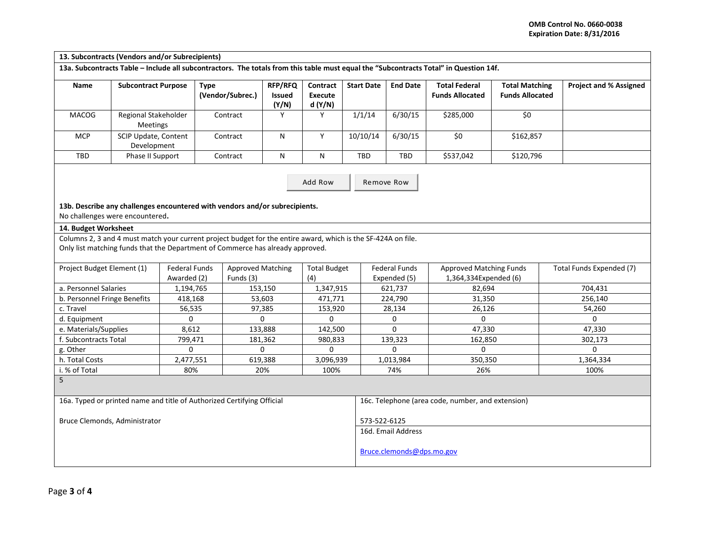**13. Subcontracts (Vendors and/or Subrecipients) 13a. Subcontracts Table – Include all subcontractors. The totals from this table must equal the "Subcontracts Total" in Question 14f. Name | Subcontract Purpose | Type (Vendor/Subrec.) RFP/RFQ Issued (Y/N) Contract Execute d (Y/N) Start Date End Date Total Federal Funds Allocated Total Matching Funds Allocated Project and % Assigned** MACOG Regional Stakeholder Meetings Contract | Y | Y | 1/1/14 | 6/30/15 | \$285,000 | \$0 MCP | SCIP Update, Content Development Contract | N | Y |10/10/14 |6/30/15 | \$0 | \$162,857 TBD | Phase II Support | Contract | N | N | TBD | TBD | \$537,042 | \$120,796  **13b. Describe any challenges encountered with vendors and/or subrecipients.**  No challenges were encountered**. 14. Budget Worksheet** Columns 2, 3 and 4 must match your current project budget for the entire award, which is the SF-424A on file. Only list matching funds that the Department of Commerce has already approved. Project Budget Element (1) | Federal Funds Awarded (2) Approved Matching Funds (3) Total Budget (4) Federal Funds Expended (5) Approved Matching Funds 1,364,334Expended (6) Total Funds Expended (7) a. Personnel Salaries 1,194,765 1,193,150 1,347,915 621,737 1 82,694 1,347,915 82,694 b. Personnel Fringe Benefits | 418,168 | 53,603 | 471,771 | 224,790 | 31,350 | 256,140 c. Travel 56,535 97,385 153,920 28,134 26,126 54,260 d. Equipment 0 0 0 0 0 0 e. Materials/Supplies | 8,612 | 133,888 | 142,500 | 0 | 47,330 | 47,330 f. Subcontracts Total 199,471 | 181,362 | 980,833 | 139,323 | 162,850 | 302,173 g. Other 0 0 0 0 0 0 h. Total Costs | 2,477,551 | 619,388 | 3,096,939 | 1,013,984 | 350,350 | 1,364,334 i. % of Total 80% 20% 100% 74% 26% 100% 5 16a. Typed or printed name and title of Authorized Certifying Official Bruce Clemonds, Administrator 16c. Telephone (area code, number, and extension) 573-522-6125 16d. Email Address [Bruce.clemonds@dps.mo.gov](mailto:Bruce.clemonds@dps.mo.gov) Add Row | Remove Row